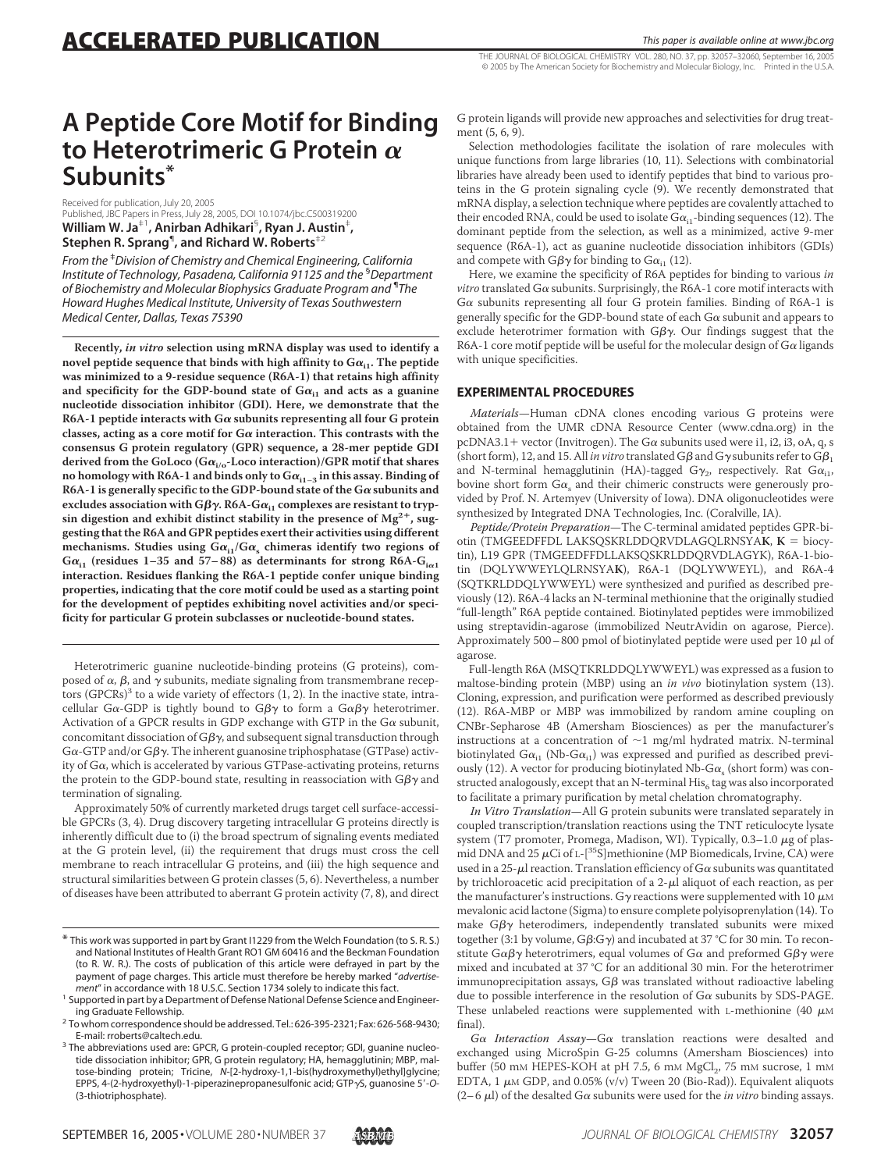THE JOURNAL OF BIOLOGICAL CHEMISTRY VOL. 280, NO. 37, pp. 32057–32060, September 16, 2005 © 2005 by The American Society for Biochemistry and Molecular Biology, Inc. Printed in the U.S.A.

# **A Peptide Core Motif for Binding to Heterotrimeric G Protein Subunits\***

Received for publication, July 20, 2005 Published, JBC Papers in Press, July 28, 2005, DOI 10.1074/jbc.C500319200 **William W. Ja**‡1**, Anirban Adhikari**§ **, Ryan J. Austin**‡ **, Stephen R. Sprang**¶ **, and Richard W. Roberts**‡2

*From the* ‡ *Division of Chemistry and Chemical Engineering, California Institute of Technology, Pasadena, California 91125 and the* § *Department of Biochemistry and Molecular Biophysics Graduate Program and* ¶ *The Howard Hughes Medical Institute, University of Texas Southwestern Medical Center, Dallas, Texas 75390*

**Recently,** *in vitro* **selection using mRNA display was used to identify a** novel peptide sequence that binds with high affinity to  $G\alpha_{i1}$ . The peptide **was minimized to a 9-residue sequence (R6A-1) that retains high affinity** and specificity for the GDP-bound state of  $Ga_{i1}$  and acts as a guanine **nucleotide dissociation inhibitor (GDI). Here, we demonstrate that the** R6A-1 peptide interacts with  $G\alpha$  subunits representing all four G protein classes, acting as a core motif for  $G\alpha$  interaction. This contrasts with the **consensus G protein regulatory (GPR) sequence, a 28-mer peptide GDI** derived from the GoLoco (G $\alpha_{i/o}$ -Loco interaction)/GPR motif that shares no homology with R6A-1 and binds only to  $Ga_{11-3}$  in this assay. Binding of R6A-1 is generally specific to the GDP-bound state of the  $G\alpha$  subunits and excludes association with G $\beta\gamma$ . R6A-G $\alpha_{i1}$  complexes are resistant to trypsin digestion and exhibit distinct stability in the presence of  $Mg^{2+}$ , sug**gesting that the R6A and GPR peptides exert their activities using different** mechanisms. Studies using  $G\alpha_{i1}/G\alpha_{s}$  chimeras identify two regions of  $G\alpha_{i1}$  (residues 1–35 and 57–88) as determinants for strong R6A- $G_{i\alpha 1}$ **interaction. Residues flanking the R6A-1 peptide confer unique binding properties, indicating that the core motif could be used as a starting point for the development of peptides exhibiting novel activities and/or specificity for particular G protein subclasses or nucleotide-bound states.**

Heterotrimeric guanine nucleotide-binding proteins (G proteins), composed of  $\alpha$ ,  $\beta$ , and  $\gamma$  subunits, mediate signaling from transmembrane receptors  $(GPCRs)^3$  to a wide variety of effectors  $(1, 2)$ . In the inactive state, intracellular G $\alpha$ -GDP is tightly bound to G $\beta\gamma$  to form a G $\alpha\beta\gamma$  heterotrimer. Activation of a GPCR results in GDP exchange with GTP in the  $G\alpha$  subunit, concomitant dissociation of G $\beta\gamma$ , and subsequent signal transduction through G $\alpha$ -GTP and/or G $\beta\gamma$ . The inherent guanosine triphosphatase (GTPase) activity of  $G\alpha$ , which is accelerated by various GTPase-activating proteins, returns the protein to the GDP-bound state, resulting in reassociation with G $\beta\gamma$  and termination of signaling.

Approximately 50% of currently marketed drugs target cell surface-accessible GPCRs (3, 4). Drug discovery targeting intracellular G proteins directly is inherently difficult due to (i) the broad spectrum of signaling events mediated at the G protein level, (ii) the requirement that drugs must cross the cell membrane to reach intracellular G proteins, and (iii) the high sequence and structural similarities between G protein classes (5, 6). Nevertheless, a number of diseases have been attributed to aberrant G protein activity (7, 8), and direct



G protein ligands will provide new approaches and selectivities for drug treatment (5, 6, 9).

Selection methodologies facilitate the isolation of rare molecules with unique functions from large libraries (10, 11). Selections with combinatorial libraries have already been used to identify peptides that bind to various proteins in the G protein signaling cycle (9). We recently demonstrated that mRNA display, a selection technique where peptides are covalently attached to their encoded RNA, could be used to isolate  $Ga_{i1}$ -binding sequences (12). The dominant peptide from the selection, as well as a minimized, active 9-mer sequence (R6A-1), act as guanine nucleotide dissociation inhibitors (GDIs) and compete with G $\beta\gamma$  for binding to G $\alpha_{\rm i1}$  (12).

Here, we examine the specificity of R6A peptides for binding to various *in vitro* translated  $G\alpha$  subunits. Surprisingly, the R6A-1 core motif interacts with  $G\alpha$  subunits representing all four G protein families. Binding of R6A-1 is generally specific for the GDP-bound state of each  $G\alpha$  subunit and appears to exclude heterotrimer formation with  $G\beta\gamma$ . Our findings suggest that the R6A-1 core motif peptide will be useful for the molecular design of  $G\alpha$  ligands with unique specificities.

## **EXPERIMENTAL PROCEDURES**

*Materials*—Human cDNA clones encoding various G proteins were obtained from the UMR cDNA Resource Center (www.cdna.org) in the pcDNA3.1 + vector (Invitrogen). The G $\alpha$  subunits used were i1, i2, i3, oA, q, s (short form), 12, and 15. All *in vitro* translated G $\beta$  and G $\gamma$  subunits refer to G $\beta_1$ and N-terminal hemagglutinin (HA)-tagged G $\gamma_2$ , respectively. Rat G $\alpha_{i1}$ , bovine short form  $Ga_{s}$  and their chimeric constructs were generously provided by Prof. N. Artemyev (University of Iowa). DNA oligonucleotides were synthesized by Integrated DNA Technologies, Inc. (Coralville, IA).

*Peptide/Protein Preparation*—The C-terminal amidated peptides GPR-biotin (TMGEEDFFDL LAKSQSKRLDDQRVDLAGQLRNSYA**K**, **K** = biocytin), L19 GPR (TMGEEDFFDLLAKSQSKRLDDQRVDLAGYK), R6A-1-biotin (DQLYWWEYLQLRNSYA**K**), R6A-1 (DQLYWWEYL), and R6A-4 (SQTKRLDDQLYWWEYL) were synthesized and purified as described previously (12). R6A-4 lacks an N-terminal methionine that the originally studied "full-length" R6A peptide contained. Biotinylated peptides were immobilized using streptavidin-agarose (immobilized NeutrAvidin on agarose, Pierce). Approximately 500 – 800 pmol of biotinylated peptide were used per 10  $\mu$ l of agarose.

Full-length R6A (MSQTKRLDDQLYWWEYL) was expressed as a fusion to maltose-binding protein (MBP) using an *in vivo* biotinylation system (13). Cloning, expression, and purification were performed as described previously (12). R6A-MBP or MBP was immobilized by random amine coupling on CNBr-Sepharose 4B (Amersham Biosciences) as per the manufacturer's instructions at a concentration of  $\sim$ 1 mg/ml hydrated matrix. N-terminal biotinylated  $G\alpha_{i1}$  (Nb-G $\alpha_{i1})$  was expressed and purified as described previously (12). A vector for producing biotinylated Nb-G $\alpha_s$  (short form) was constructed analogously, except that an N-terminal  $His<sub>6</sub>$  tag was also incorporated to facilitate a primary purification by metal chelation chromatography.

*In Vitro Translation*—All G protein subunits were translated separately in coupled transcription/translation reactions using the TNT reticulocyte lysate system (T7 promoter, Promega, Madison, WI). Typically,  $0.3-1.0 \mu$ g of plasmid DNA and 25  $\mu$ Ci of L-[<sup>35</sup>S]methionine (MP Biomedicals, Irvine, CA) were used in a 25- $\mu$ l reaction. Translation efficiency of G $\alpha$  subunits was quantitated by trichloroacetic acid precipitation of a  $2-\mu l$  aliquot of each reaction, as per the manufacturer's instructions. Gy reactions were supplemented with 10  $\mu$ M mevalonic acid lactone (Sigma) to ensure complete polyisoprenylation (14). To make G $\beta\gamma$  heterodimers, independently translated subunits were mixed together (3:1 by volume, G $\beta$ :G $\gamma$ ) and incubated at 37 °C for 30 min. To reconstitute G $\alpha$ β $\gamma$  heterotrimers, equal volumes of G $\alpha$  and preformed Gβ $\gamma$  were mixed and incubated at 37 °C for an additional 30 min. For the heterotrimer immunoprecipitation assays, G $\beta$  was translated without radioactive labeling due to possible interference in the resolution of  $G\alpha$  subunits by SDS-PAGE. These unlabeled reactions were supplemented with L-methionine (40  $\mu$ M final).

 $G\alpha$  *Interaction Assay*— $G\alpha$  translation reactions were desalted and exchanged using MicroSpin G-25 columns (Amersham Biosciences) into buffer (50 mM HEPES-KOH at pH 7.5, 6 mM MgCl<sub>2</sub>, 75 mM sucrose, 1 mM EDTA, 1  $\mu$ M GDP, and 0.05% (v/v) Tween 20 (Bio-Rad)). Equivalent aliquots  $(2-6 \mu l)$  of the desalted G $\alpha$  subunits were used for the *in vitro* binding assays.

<sup>\*</sup> This work was supported in part by Grant I1229 from the Welch Foundation (to S. R. S.) and National Institutes of Health Grant RO1 GM 60416 and the Beckman Foundation (to R. W. R.). The costs of publication of this article were defrayed in part by the payment of page charges. This article must therefore be hereby marked "*advertise-*

<sup>&</sup>lt;sup>1</sup> Supported in part by a Department of Defense National Defense Science and Engineer-

ing Graduate Fellowship.<br><sup>2</sup> To whom correspondence should be addressed. Tel.: 626-395-2321; Fax: 626-568-9430;<br>E-mail: rroberts@caltech.edu.

<sup>&</sup>lt;sup>3</sup> The abbreviations used are: GPCR, G protein-coupled receptor; GDI, guanine nucleotide dissociation inhibitor; GPR, G protein regulatory; HA, hemagglutinin; MBP, maltose-binding protein; Tricine, *N*-[2-hydroxy-1,1-bis(hydroxymethyl)ethyl]glycine; EPPS, 4-(2-hydroxyethyl)-1-piperazinepropanesulfonic acid; GTP<sub>Y</sub>S, guanosine 5'-O-(3-thiotriphosphate).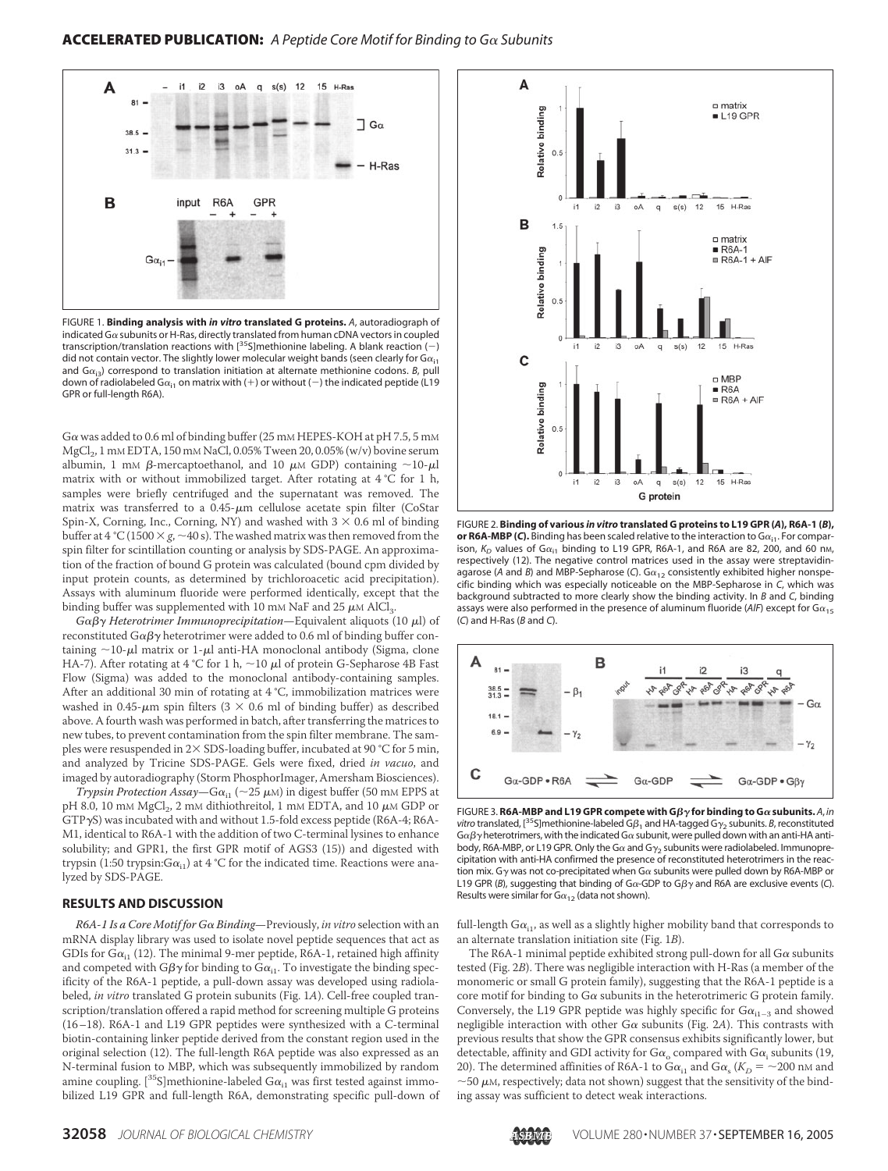

FIGURE 1. **Binding analysis with** *in vitro* **translated G proteins.** *A*, autoradiograph of indicated G $\alpha$  subunits or H-Ras, directly translated from human cDNA vectors in coupled transcription/translation reactions with  $[^{35}S]$ methionine labeling. A blank reaction (-) did not contain vector. The slightly lower molecular weight bands (seen clearly for  $G\alpha_{i1}$ and  $G_{\alpha_{i3}}$  correspond to translation initiation at alternate methionine codons. *B*, pull down of radiolabeled G $\alpha_{i1}$  on matrix with (+) or without (-) the indicated peptide (L19 GPR or full-length R6A).

G $\alpha$  was added to 0.6 ml of binding buffer (25 mM HEPES-KOH at pH 7.5, 5 mM MgCl<sub>2</sub>, 1 mM EDTA, 150 mM NaCl, 0.05% Tween 20, 0.05% (w/v) bovine serum albumin, 1 mM  $\beta$ -mercaptoethanol, and 10  $\mu$ M GDP) containing  $\sim$ 10- $\mu$ l matrix with or without immobilized target. After rotating at 4 °C for 1 h, samples were briefly centrifuged and the supernatant was removed. The matrix was transferred to a  $0.45$ - $\mu$ m cellulose acetate spin filter (CoStar Spin-X, Corning, Inc., Corning, NY) and washed with  $3 \times 0.6$  ml of binding buffer at 4 °C (1500  $\times g$ ,  $\sim$  40 s). The washed matrix was then removed from the spin filter for scintillation counting or analysis by SDS-PAGE. An approximation of the fraction of bound G protein was calculated (bound cpm divided by input protein counts, as determined by trichloroacetic acid precipitation). Assays with aluminum fluoride were performed identically, except that the binding buffer was supplemented with 10 mM NaF and 25  $\mu$ M AlCl<sub>3</sub>.

*Gαβγ Heterotrimer Immunoprecipitation*—Equivalent aliquots (10 μl) of reconstituted G $\alpha$ ß $\gamma$  heterotrimer were added to 0.6 ml of binding buffer containing  $\sim$ 10- $\mu$ l matrix or 1- $\mu$ l anti-HA monoclonal antibody (Sigma, clone HA-7). After rotating at 4 °C for 1 h,  $\sim$ 10  $\mu$ l of protein G-Sepharose 4B Fast Flow (Sigma) was added to the monoclonal antibody-containing samples. After an additional 30 min of rotating at 4 °C, immobilization matrices were washed in 0.45- $\mu$ m spin filters (3  $\times$  0.6 ml of binding buffer) as described above. A fourth wash was performed in batch, after transferring the matrices to new tubes, to prevent contamination from the spin filter membrane. The samples were resuspended in  $2 \times$  SDS-loading buffer, incubated at 90 °C for 5 min, and analyzed by Tricine SDS-PAGE. Gels were fixed, dried *in vacuo*, and imaged by autoradiography (Storm PhosphorImager, Amersham Biosciences).

*Trypsin Protection Assay*—G $\alpha_{11}$  (~25  $\mu$ M) in digest buffer (50 mM EPPS at pH 8.0, 10 mM MgCl<sub>2</sub>, 2 mM dithiothreitol, 1 mM EDTA, and 10  $\mu$ M GDP or  $GTP\gamma S$ ) was incubated with and without 1.5-fold excess peptide (R6A-4; R6A-M1, identical to R6A-1 with the addition of two C-terminal lysines to enhance solubility; and GPR1, the first GPR motif of AGS3 (15)) and digested with trypsin (1:50 trypsin: $Ga_{i1}$ ) at 4 °C for the indicated time. Reactions were analyzed by SDS-PAGE.

#### **RESULTS AND DISCUSSION**

*R6A-1 Is a Core Motif for G Binding*—Previously, *in vitro* selection with an mRNA display library was used to isolate novel peptide sequences that act as GDIs for G $\alpha_{i1}$  (12). The minimal 9-mer peptide, R6A-1, retained high affinity and competed with G $\beta\gamma$  for binding to G $\alpha_{\rm ii}$ . To investigate the binding specificity of the R6A-1 peptide, a pull-down assay was developed using radiolabeled, *in vitro* translated G protein subunits (Fig. 1*A*). Cell-free coupled transcription/translation offered a rapid method for screening multiple G proteins (16–18). R6A-1 and L19 GPR peptides were synthesized with a C-terminal biotin-containing linker peptide derived from the constant region used in the original selection (12). The full-length R6A peptide was also expressed as an N-terminal fusion to MBP, which was subsequently immobilized by random amine coupling. [ $35$ S]methionine-labeled G $\alpha_{i1}$  was first tested against immobilized L19 GPR and full-length R6A, demonstrating specific pull-down of



FIGURE 2. **Binding of various** *in vitro* **translated G proteins to L19 GPR (***A***), R6A-1 (***B***), or R6A-MBP (***C***).** Binding has been scaled relative to the interaction to  $G_{\alpha_{i}}$ . For comparison,  $K_D$  values of G $\alpha_{i1}$  binding to L19 GPR, R6A-1, and R6A are 82, 200, and 60 nm, respectively (12). The negative control matrices used in the assay were streptavidinagarose (A and B) and MBP-Sepharose (C).  $G\alpha_{12}$  consistently exhibited higher nonspecific binding which was especially noticeable on the MBP-Sepharose in *C*, which was background subtracted to more clearly show the binding activity. In *B* and *C*, binding assays were also performed in the presence of aluminum fluoride (AlF) except for  $Ga_{15}$ (*C*) and H-Ras (*B* and *C*).



FIGURE 3. **R6A-MBP and L19 GPR compete with G** $\beta\gamma$  **for binding to G** $\alpha$  **subunits.**  $A$ **,** *in vitro* translated, [<sup>35</sup>S]methionine-labeled G $\beta_1$  and HA-tagged G $\gamma_2$  subunits. *B*, reconstituted G $\alpha\beta\gamma$  heterotrimers, with the indicated G $\alpha$  subunit, were pulled down with an anti-HA antibody, R6A-MBP, or L19 GPR. Only the G $\alpha$  and G $\gamma_2$  subunits were radiolabeled. Immunoprecipitation with anti-HA confirmed the presence of reconstituted heterotrimers in the reaction mix. G $\gamma$  was not co-precipitated when G $\alpha$  subunits were pulled down by R6A-MBP or L19 GPR (*B*), suggesting that binding of G $\alpha$ -GDP to G $\beta\gamma$  and R6A are exclusive events (*C*). Results were similar for  $G\alpha_{12}$  (data not shown).

full-length  $Ga_{i1}$ , as well as a slightly higher mobility band that corresponds to an alternate translation initiation site (Fig. 1*B*).

The R6A-1 minimal peptide exhibited strong pull-down for all  $G\alpha$  subunits tested (Fig. 2*B*). There was negligible interaction with H-Ras (a member of the monomeric or small G protein family), suggesting that the R6A-1 peptide is a core motif for binding to  $G\alpha$  subunits in the heterotrimeric G protein family. Conversely, the L19 GPR peptide was highly specific for  $Ga_{i1-3}$  and showed negligible interaction with other  $G\alpha$  subunits (Fig. 2A). This contrasts with previous results that show the GPR consensus exhibits significantly lower, but detectable, affinity and GDI activity for  $Ga_0$  compared with  $Ga_i$  subunits (19, 20). The determined affinities of R6A-1 to G $\alpha_{i1}$  and G $\alpha_{s}$  ( $K_D = \sim$  200 nm and  $\sim$  50  $\mu$ M, respectively; data not shown) suggest that the sensitivity of the binding assay was sufficient to detect weak interactions.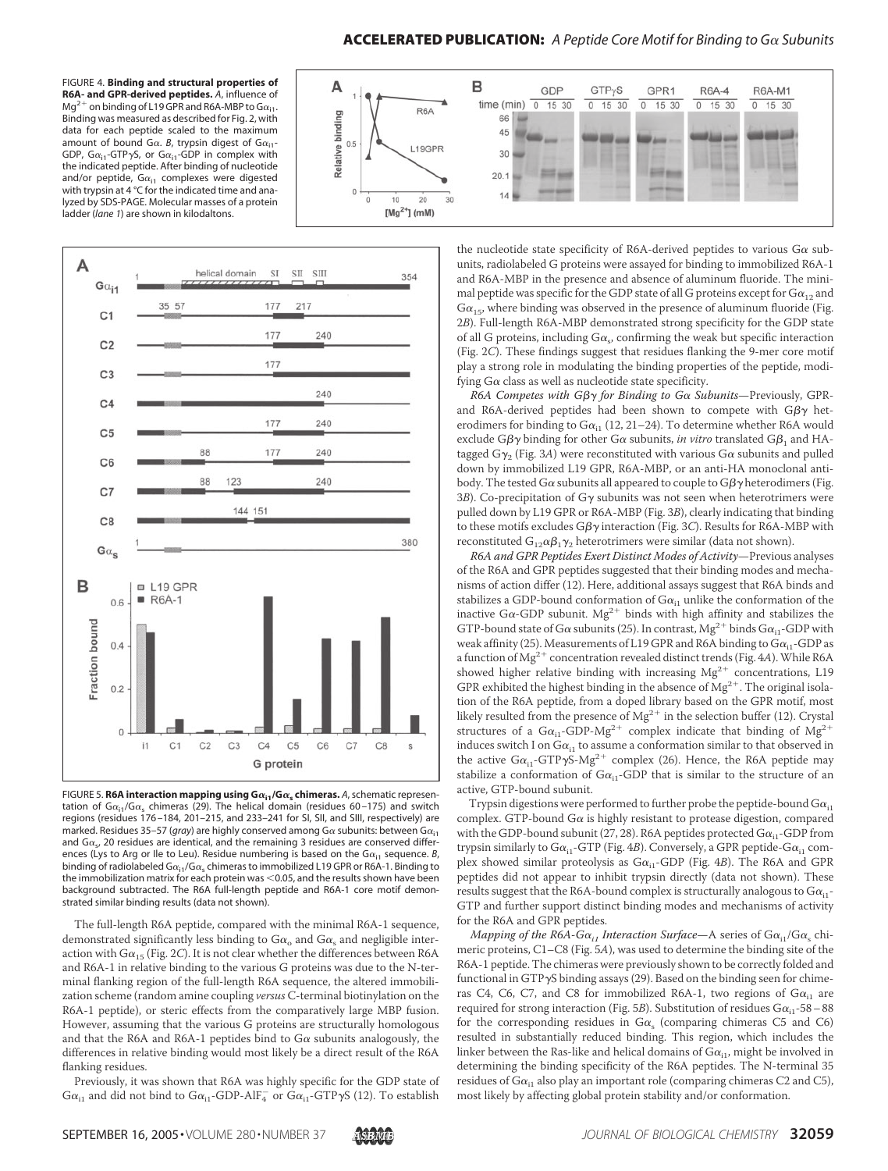### ACCELERATED PUBLICATION: A Peptide Core Motif for Binding to Ga Subunits

FIGURE 4. **Binding and structural properties of R6A- and GPR-derived peptides.** *A*, influence of Mg<sup>2+</sup> on binding of L19 GPR and R6A-MBP to G $\alpha_{i1}$ . Binding was measured as described for Fig. 2, with data for each peptide scaled to the maximum amount of bound G $\alpha$ . *B*, trypsin digest of G $\alpha_{i1}$ -GDP, G $\alpha_{i1}$ -GTP $\gamma$ S, or G $\alpha_{i1}$ -GDP in complex with the indicated peptide. After binding of nucleotide and/or peptide,  $G\alpha_{i1}$  complexes were digested with trypsin at 4 °C for the indicated time and analyzed by SDS-PAGE. Molecular masses of a protein ladder (*lane 1*) are shown in kilodaltons.





FIGURE 5. **R6A interaction mapping using**  $G\alpha_{i1}/G\alpha_{s}$  **chimeras. A, schematic represen**tation of G $\alpha_{i1}/G\alpha_{s}$  chimeras (29). The helical domain (residues 60–175) and switch regions (residues 176 –184, 201–215, and 233–241 for SI, SII, and SIII, respectively) are marked. Residues 35–57 (*gray*) are highly conserved among G $\alpha$  subunits: between G $\alpha_{i1}$ and  $G\alpha_{s}$ , 20 residues are identical, and the remaining 3 residues are conserved differences (Lys to Arg or Ile to Leu). Residue numbering is based on the G $\alpha_{i1}$  sequence. *B*, binding of radiolabeled  $G\alpha_{i1}/G\alpha_s$  chimeras to immobilized L19 GPR or R6A-1. Binding to the immobilization matrix for each protein was  $<$  0.05, and the results shown have been background subtracted. The R6A full-length peptide and R6A-1 core motif demonstrated similar binding results (data not shown).

The full-length R6A peptide, compared with the minimal R6A-1 sequence, demonstrated significantly less binding to  $Ga_0$  and  $Ga_s$  and negligible interaction with  $Ga_{15}$  (Fig. 2*C*). It is not clear whether the differences between R6A and R6A-1 in relative binding to the various G proteins was due to the N-terminal flanking region of the full-length R6A sequence, the altered immobilization scheme (random amine coupling *versus* C-terminal biotinylation on the R6A-1 peptide), or steric effects from the comparatively large MBP fusion. However, assuming that the various G proteins are structurally homologous and that the R6A and R6A-1 peptides bind to  $G\alpha$  subunits analogously, the differences in relative binding would most likely be a direct result of the R6A flanking residues.

Previously, it was shown that R6A was highly specific for the GDP state of  $\rm G\alpha_{i1}$  and did not bind to  $\rm Ga_{i1}$ -GDP-AlF $_4^-$  or  $\rm Ga_{i1}$ -GTP $\gamma\rm S$  (12). To establish

the nucleotide state specificity of R6A-derived peptides to various  $G\alpha$  subunits, radiolabeled G proteins were assayed for binding to immobilized R6A-1 and R6A-MBP in the presence and absence of aluminum fluoride. The minimal peptide was specific for the GDP state of all G proteins except for  $Ga_{12}$  and  $Ga_{15}$ , where binding was observed in the presence of aluminum fluoride (Fig. 2*B*). Full-length R6A-MBP demonstrated strong specificity for the GDP state of all G proteins, including  $G\alpha_s$  confirming the weak but specific interaction (Fig. 2*C*). These findings suggest that residues flanking the 9-mer core motif play a strong role in modulating the binding properties of the peptide, modifying  $G\alpha$  class as well as nucleotide state specificity.

*R6A Competes with Gβγ for Binding to Gα Subunits*—Previously, GPRand R6A-derived peptides had been shown to compete with G $\beta\gamma$  heterodimers for binding to  $Ga_{i1}$  (12, 21–24). To determine whether R6A would exclude G $\beta\gamma$  binding for other G $\alpha$  subunits, *in vitro* translated G $\beta_1$  and HAtagged G $\gamma$ <sub>2</sub> (Fig. 3*A*) were reconstituted with various G $\alpha$  subunits and pulled down by immobilized L19 GPR, R6A-MBP, or an anti-HA monoclonal antibody. The tested G $\alpha$  subunits all appeared to couple to G $\beta\gamma$  heterodimers (Fig.  $3B$ ). Co-precipitation of G $\gamma$  subunits was not seen when heterotrimers were pulled down by L19 GPR or R6A-MBP (Fig. 3*B*), clearly indicating that binding to these motifs excludes G $\beta\gamma$  interaction (Fig. 3*C*). Results for R6A-MBP with reconstituted  $\mathrm{G}_{12}\alpha\beta_1\gamma_2$  heterotrimers were similar (data not shown).

*R6A and GPR Peptides Exert Distinct Modes of Activity*—Previous analyses of the R6A and GPR peptides suggested that their binding modes and mechanisms of action differ (12). Here, additional assays suggest that R6A binds and stabilizes a GDP-bound conformation of  $Ga_{i1}$  unlike the conformation of the inactive G $\alpha$ -GDP subunit.  $Mg^{2+}$  binds with high affinity and stabilizes the GTP-bound state of G $\alpha$  subunits (25). In contrast, Mg<sup>2+</sup> binds G $\alpha_{i1}$ -GDP with weak affinity (25). Measurements of L19 GPR and R6A binding to  $Ga_{i1}$ -GDP as a function of Mg<sup>2+</sup> concentration revealed distinct trends (Fig. 4*A*). While R6A showed higher relative binding with increasing  $Mg^{2+}$  concentrations, L19 GPR exhibited the highest binding in the absence of  $Mg^{2+}$ . The original isolation of the R6A peptide, from a doped library based on the GPR motif, most likely resulted from the presence of  $Mg^{2+}$  in the selection buffer (12). Crystal structures of a  $Ga_{i1}$ -GDP-Mg<sup>2+</sup> complex indicate that binding of Mg<sup>2+</sup> induces switch I on  $Ga_{11}$  to assume a conformation similar to that observed in the active  $Ga_{i1}$ -GTP $\gamma S$ -Mg<sup>2+</sup> complex (26). Hence, the R6A peptide may stabilize a conformation of  $Ga_{i1}$ -GDP that is similar to the structure of an active, GTP-bound subunit.

Trypsin digestions were performed to further probe the peptide-bound  $Ga_{i1}$ complex. GTP-bound G $\alpha$  is highly resistant to protease digestion, compared with the GDP-bound subunit (27, 28). R6A peptides protected  $Ga_{i1}$ -GDP from trypsin similarly to  $G\alpha_{i1}$ -GTP (Fig. 4*B*). Conversely, a GPR peptide- $G\alpha_{i1}$  complex showed similar proteolysis as  $Ga_{11}$ -GDP (Fig. 4*B*). The R6A and GPR peptides did not appear to inhibit trypsin directly (data not shown). These results suggest that the R6A-bound complex is structurally analogous to  $Ga_{i1}$ -GTP and further support distinct binding modes and mechanisms of activity for the R6A and GPR peptides.

*Mapping of the R6A-G* $\alpha_{i1}$  *Interaction Surface*—A series of G $\alpha_{i1}$ /G $\alpha_{s}$  chimeric proteins, C1–C8 (Fig. 5*A*), was used to determine the binding site of the R6A-1 peptide. The chimeras were previously shown to be correctly folded and functional in  $GTP\gamma S$  binding assays (29). Based on the binding seen for chimeras C4, C6, C7, and C8 for immobilized R6A-1, two regions of  $Ga_{i1}$  are required for strong interaction (Fig. 5*B*). Substitution of residues  $Ga_{i1}$ -58 – 88 for the corresponding residues in  $Ga_e$  (comparing chimeras C5 and C6) resulted in substantially reduced binding. This region, which includes the linker between the Ras-like and helical domains of  $Ga_{i1}$ , might be involved in determining the binding specificity of the R6A peptides. The N-terminal 35 residues of  $Ga_{i1}$  also play an important role (comparing chimeras C2 and C5), most likely by affecting global protein stability and/or conformation.